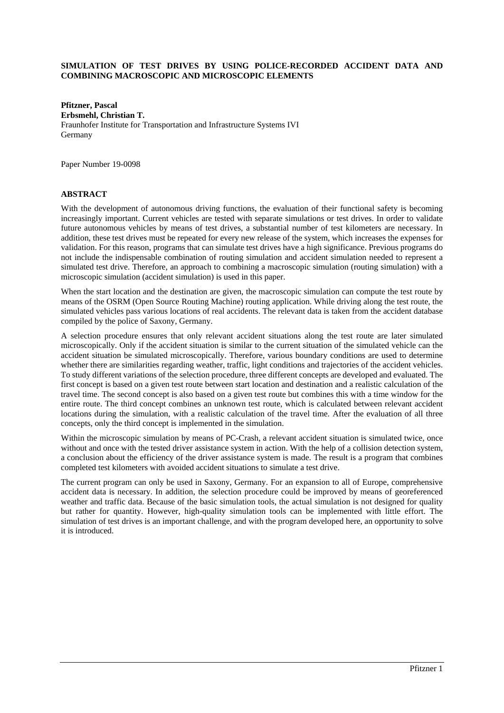## **SIMULATION OF TEST DRIVES BY USING POLICE-RECORDED ACCIDENT DATA AND COMBINING MACROSCOPIC AND MICROSCOPIC ELEMENTS**

**Pfitzner, Pascal Erbsmehl, Christian T.** Fraunhofer Institute for Transportation and Infrastructure Systems IVI Germany

Paper Number 19-0098

### **ABSTRACT**

With the development of autonomous driving functions, the evaluation of their functional safety is becoming increasingly important. Current vehicles are tested with separate simulations or test drives. In order to validate future autonomous vehicles by means of test drives, a substantial number of test kilometers are necessary. In addition, these test drives must be repeated for every new release of the system, which increases the expenses for validation. For this reason, programs that can simulate test drives have a high significance. Previous programs do not include the indispensable combination of routing simulation and accident simulation needed to represent a simulated test drive. Therefore, an approach to combining a macroscopic simulation (routing simulation) with a microscopic simulation (accident simulation) is used in this paper.

When the start location and the destination are given, the macroscopic simulation can compute the test route by means of the OSRM (Open Source Routing Machine) routing application. While driving along the test route, the simulated vehicles pass various locations of real accidents. The relevant data is taken from the accident database compiled by the police of Saxony, Germany.

A selection procedure ensures that only relevant accident situations along the test route are later simulated microscopically. Only if the accident situation is similar to the current situation of the simulated vehicle can the accident situation be simulated microscopically. Therefore, various boundary conditions are used to determine whether there are similarities regarding weather, traffic, light conditions and trajectories of the accident vehicles. To study different variations of the selection procedure, three different concepts are developed and evaluated. The first concept is based on a given test route between start location and destination and a realistic calculation of the travel time. The second concept is also based on a given test route but combines this with a time window for the entire route. The third concept combines an unknown test route, which is calculated between relevant accident locations during the simulation, with a realistic calculation of the travel time. After the evaluation of all three concepts, only the third concept is implemented in the simulation.

Within the microscopic simulation by means of PC-Crash, a relevant accident situation is simulated twice, once without and once with the tested driver assistance system in action. With the help of a collision detection system, a conclusion about the efficiency of the driver assistance system is made. The result is a program that combines completed test kilometers with avoided accident situations to simulate a test drive.

The current program can only be used in Saxony, Germany. For an expansion to all of Europe, comprehensive accident data is necessary. In addition, the selection procedure could be improved by means of georeferenced weather and traffic data. Because of the basic simulation tools, the actual simulation is not designed for quality but rather for quantity. However, high-quality simulation tools can be implemented with little effort. The simulation of test drives is an important challenge, and with the program developed here, an opportunity to solve it is introduced.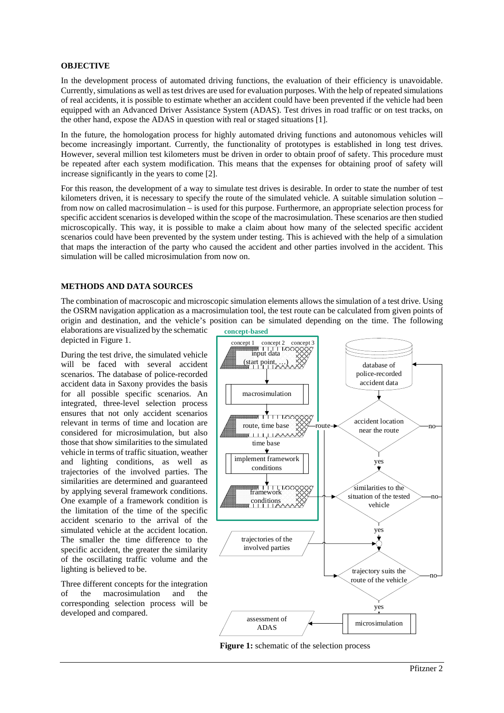# **OBJECTIVE**

In the development process of automated driving functions, the evaluation of their efficiency is unavoidable. Currently, simulations as well as test drives are used for evaluation purposes. With the help of repeated simulations of real accidents, it is possible to estimate whether an accident could have been prevented if the vehicle had been equipped with an Advanced Driver Assistance System (ADAS). Test drives in road traffic or on test tracks, on the other hand, expose the ADAS in question with real or staged situations [1].

In the future, the homologation process for highly automated driving functions and autonomous vehicles will become increasingly important. Currently, the functionality of prototypes is established in long test drives. However, several million test kilometers must be driven in order to obtain proof of safety. This procedure must be repeated after each system modification. This means that the expenses for obtaining proof of safety will increase significantly in the years to come [2].

For this reason, the development of a way to simulate test drives is desirable. In order to state the number of test kilometers driven, it is necessary to specify the route of the simulated vehicle. A suitable simulation solution – from now on called macrosimulation – is used for this purpose. Furthermore, an appropriate selection process for specific accident scenarios is developed within the scope of the macrosimulation. These scenarios are then studied microscopically. This way, it is possible to make a claim about how many of the selected specific accident scenarios could have been prevented by the system under testing. This is achieved with the help of a simulation that maps the interaction of the party who caused the accident and other parties involved in the accident. This simulation will be called microsimulation from now on.

# **METHODS AND DATA SOURCES**

The combination of macroscopic and microscopic simulation elements allows the simulation of a test drive. Using the OSRM navigation application as a macrosimulation tool, the test route can be calculated from given points of origin and destination, and the vehicle's position can be simulated depending on the time. The following

elaborations are visualized by the schematic depicted in Figure 1.

During the test drive, the simulated vehicle will be faced with several accident scenarios. The database of police-recorded accident data in Saxony provides the basis for all possible specific scenarios. An integrated, three-level selection process ensures that not only accident scenarios relevant in terms of time and location are considered for microsimulation, but also those that show similarities to the simulated vehicle in terms of traffic situation, weather and lighting conditions, as well as trajectories of the involved parties. The similarities are determined and guaranteed by applying several framework conditions. One example of a framework condition is the limitation of the time of the specific accident scenario to the arrival of the simulated vehicle at the accident location. The smaller the time difference to the specific accident, the greater the similarity of the oscillating traffic volume and the lighting is believed to be.

Three different concepts for the integration<br>of the macrosimulation and the of the macrosimulation and the corresponding selection process will be developed and compared.

**concept-based**



**Figure 1:** schematic of the selection process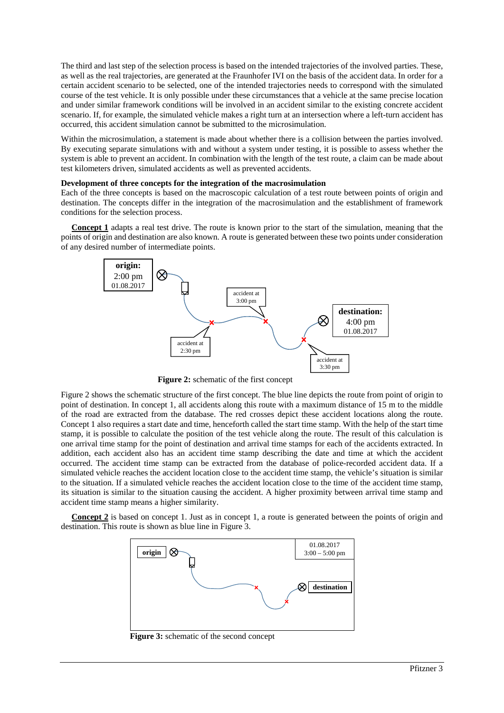The third and last step of the selection process is based on the intended trajectories of the involved parties. These, as well as the real trajectories, are generated at the Fraunhofer IVI on the basis of the accident data. In order for a certain accident scenario to be selected, one of the intended trajectories needs to correspond with the simulated course of the test vehicle. It is only possible under these circumstances that a vehicle at the same precise location and under similar framework conditions will be involved in an accident similar to the existing concrete accident scenario. If, for example, the simulated vehicle makes a right turn at an intersection where a left-turn accident has occurred, this accident simulation cannot be submitted to the microsimulation.

Within the microsimulation, a statement is made about whether there is a collision between the parties involved. By executing separate simulations with and without a system under testing, it is possible to assess whether the system is able to prevent an accident. In combination with the length of the test route, a claim can be made about test kilometers driven, simulated accidents as well as prevented accidents.

#### **Development of three concepts for the integration of the macrosimulation**

Each of the three concepts is based on the macroscopic calculation of a test route between points of origin and destination. The concepts differ in the integration of the macrosimulation and the establishment of framework conditions for the selection process.

 **Concept 1** adapts a real test drive. The route is known prior to the start of the simulation, meaning that the points of origin and destination are also known. A route is generated between these two points under consideration of any desired number of intermediate points.



**Figure 2:** schematic of the first concept

Figure 2 shows the schematic structure of the first concept. The blue line depicts the route from point of origin to point of destination. In concept 1, all accidents along this route with a maximum distance of 15 m to the middle of the road are extracted from the database. The red crosses depict these accident locations along the route. Concept 1 also requires a start date and time, henceforth called the start time stamp. With the help of the start time stamp, it is possible to calculate the position of the test vehicle along the route. The result of this calculation is one arrival time stamp for the point of destination and arrival time stamps for each of the accidents extracted. In addition, each accident also has an accident time stamp describing the date and time at which the accident occurred. The accident time stamp can be extracted from the database of police-recorded accident data. If a simulated vehicle reaches the accident location close to the accident time stamp, the vehicle's situation is similar to the situation. If a simulated vehicle reaches the accident location close to the time of the accident time stamp, its situation is similar to the situation causing the accident. A higher proximity between arrival time stamp and accident time stamp means a higher similarity.

**Concept 2** is based on concept 1. Just as in concept 1, a route is generated between the points of origin and destination. This route is shown as blue line in Figure 3.



**Figure 3:** schematic of the second concept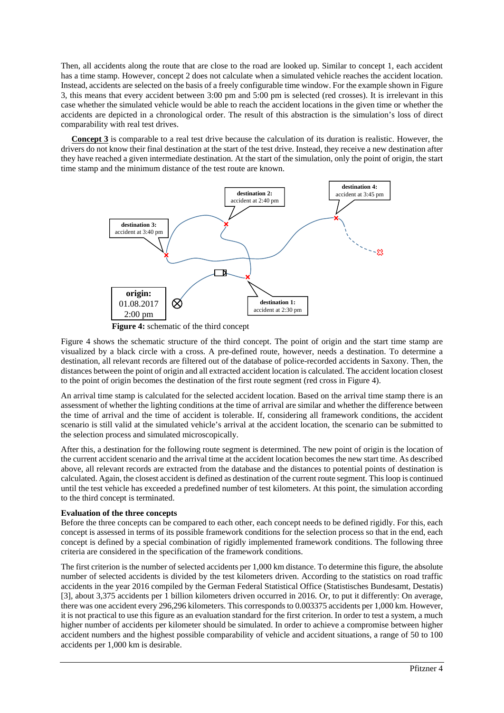Then, all accidents along the route that are close to the road are looked up. Similar to concept 1, each accident has a time stamp. However, concept 2 does not calculate when a simulated vehicle reaches the accident location. Instead, accidents are selected on the basis of a freely configurable time window. For the example shown in Figure 3, this means that every accident between 3:00 pm and 5:00 pm is selected (red crosses). It is irrelevant in this case whether the simulated vehicle would be able to reach the accident locations in the given time or whether the accidents are depicted in a chronological order. The result of this abstraction is the simulation's loss of direct comparability with real test drives.

 **Concept 3** is comparable to a real test drive because the calculation of its duration is realistic. However, the drivers do not know their final destination at the start of the test drive. Instead, they receive a new destination after they have reached a given intermediate destination. At the start of the simulation, only the point of origin, the start time stamp and the minimum distance of the test route are known.



**Figure 4:** schematic of the third concept

Figure 4 shows the schematic structure of the third concept. The point of origin and the start time stamp are visualized by a black circle with a cross. A pre-defined route, however, needs a destination. To determine a destination, all relevant records are filtered out of the database of police-recorded accidents in Saxony. Then, the distances between the point of origin and all extracted accident location is calculated. The accident location closest to the point of origin becomes the destination of the first route segment (red cross in Figure 4).

An arrival time stamp is calculated for the selected accident location. Based on the arrival time stamp there is an assessment of whether the lighting conditions at the time of arrival are similar and whether the difference between the time of arrival and the time of accident is tolerable. If, considering all framework conditions, the accident scenario is still valid at the simulated vehicle's arrival at the accident location, the scenario can be submitted to the selection process and simulated microscopically.

After this, a destination for the following route segment is determined. The new point of origin is the location of the current accident scenario and the arrival time at the accident location becomes the new start time. As described above, all relevant records are extracted from the database and the distances to potential points of destination is calculated. Again, the closest accident is defined as destination of the current route segment. This loop is continued until the test vehicle has exceeded a predefined number of test kilometers. At this point, the simulation according to the third concept is terminated.

## **Evaluation of the three concepts**

Before the three concepts can be compared to each other, each concept needs to be defined rigidly. For this, each concept is assessed in terms of its possible framework conditions for the selection process so that in the end, each concept is defined by a special combination of rigidly implemented framework conditions. The following three criteria are considered in the specification of the framework conditions.

The first criterion is the number of selected accidents per 1,000 km distance. To determine this figure, the absolute number of selected accidents is divided by the test kilometers driven. According to the statistics on road traffic accidents in the year 2016 compiled by the German Federal Statistical Office (Statistisches Bundesamt, Destatis) [3], about 3,375 accidents per 1 billion kilometers driven occurred in 2016. Or, to put it differently: On average, there was one accident every 296,296 kilometers. This corresponds to 0.003375 accidents per 1,000 km. However, it is not practical to use this figure as an evaluation standard for the first criterion. In order to test a system, a much higher number of accidents per kilometer should be simulated. In order to achieve a compromise between higher accident numbers and the highest possible comparability of vehicle and accident situations, a range of 50 to 100 accidents per 1,000 km is desirable.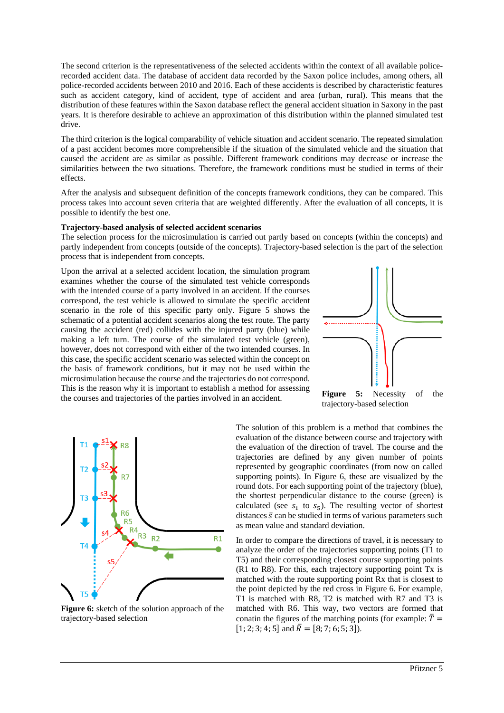The second criterion is the representativeness of the selected accidents within the context of all available policerecorded accident data. The database of accident data recorded by the Saxon police includes, among others, all police-recorded accidents between 2010 and 2016. Each of these accidents is described by characteristic features such as accident category, kind of accident, type of accident and area (urban, rural). This means that the distribution of these features within the Saxon database reflect the general accident situation in Saxony in the past years. It is therefore desirable to achieve an approximation of this distribution within the planned simulated test drive.

The third criterion is the logical comparability of vehicle situation and accident scenario. The repeated simulation of a past accident becomes more comprehensible if the situation of the simulated vehicle and the situation that caused the accident are as similar as possible. Different framework conditions may decrease or increase the similarities between the two situations. Therefore, the framework conditions must be studied in terms of their effects.

After the analysis and subsequent definition of the concepts framework conditions, they can be compared. This process takes into account seven criteria that are weighted differently. After the evaluation of all concepts, it is possible to identify the best one.

#### **Trajectory-based analysis of selected accident scenarios**

The selection process for the microsimulation is carried out partly based on concepts (within the concepts) and partly independent from concepts (outside of the concepts). Trajectory-based selection is the part of the selection process that is independent from concepts.

Upon the arrival at a selected accident location, the simulation program examines whether the course of the simulated test vehicle corresponds with the intended course of a party involved in an accident. If the courses correspond, the test vehicle is allowed to simulate the specific accident scenario in the role of this specific party only. Figure 5 shows the schematic of a potential accident scenarios along the test route. The party causing the accident (red) collides with the injured party (blue) while making a left turn. The course of the simulated test vehicle (green), however, does not correspond with either of the two intended courses. In this case, the specific accident scenario was selected within the concept on the basis of framework conditions, but it may not be used within the microsimulation because the course and the trajectories do not correspond. This is the reason why it is important to establish a method for assessing the courses and trajectories of the parties involved in an accident.



**Figure 5:** Necessity of the trajectory-based selection



**Figure 6:** sketch of the solution approach of the trajectory-based selection

The solution of this problem is a method that combines the evaluation of the distance between course and trajectory with the evaluation of the direction of travel. The course and the trajectories are defined by any given number of points represented by geographic coordinates (from now on called supporting points). In Figure 6, these are visualized by the round dots. For each supporting point of the trajectory (blue), the shortest perpendicular distance to the course (green) is calculated (see  $s_1$  to  $s_5$ ). The resulting vector of shortest distances  $\bar{s}$  can be studied in terms of various parameters such as mean value and standard deviation.

In order to compare the directions of travel, it is necessary to analyze the order of the trajectories supporting points (T1 to T5) and their corresponding closest course supporting points (R1 to R8). For this, each trajectory supporting point Tx is matched with the route supporting point Rx that is closest to the point depicted by the red cross in Figure 6. For example, T1 is matched with R8, T2 is matched with R7 and T3 is matched with R6. This way, two vectors are formed that conatin the figures of the matching points (for example:  $\overline{T}$  = [1; 2; 3; 4; 5] and  $\overline{R} = [8; 7; 6; 5; 3]$ .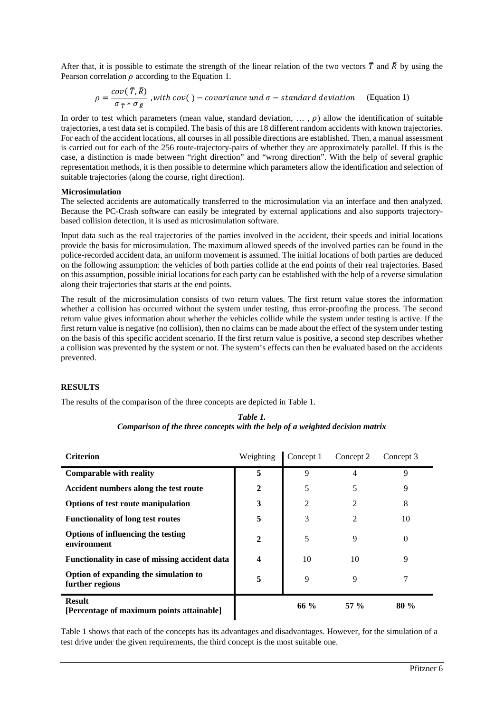After that, it is possible to estimate the strength of the linear relation of the two vectors  $\bar{T}$  and  $\bar{R}$  by using the Pearson correlation  $\rho$  according to the Equation 1.

$$
\rho = \frac{cov(\bar{T}, \bar{R})}{\sigma_{\bar{T}} * \sigma_{\bar{R}}}, with cov() - covariance und \sigma - standard deviation \quad (Equation 1)
$$

In order to test which parameters (mean value, standard deviation,  $\ldots$ ,  $\rho$ ) allow the identification of suitable trajectories, a test data set is compiled. The basis of this are 18 different random accidents with known trajectories. For each of the accident locations, all courses in all possible directions are established. Then, a manual assessment is carried out for each of the 256 route-trajectory-pairs of whether they are approximately parallel. If this is the case, a distinction is made between "right direction" and "wrong direction". With the help of several graphic representation methods, it is then possible to determine which parameters allow the identification and selection of suitable trajectories (along the course, right direction).

#### **Microsimulation**

The selected accidents are automatically transferred to the microsimulation via an interface and then analyzed. Because the PC-Crash software can easily be integrated by external applications and also supports trajectorybased collision detection, it is used as microsimulation software.

Input data such as the real trajectories of the parties involved in the accident, their speeds and initial locations provide the basis for microsimulation. The maximum allowed speeds of the involved parties can be found in the police-recorded accident data, an uniform movement is assumed. The initial locations of both parties are deduced on the following assumption: the vehicles of both parties collide at the end points of their real trajectories. Based on this assumption, possible initial locations for each party can be established with the help of a reverse simulation along their trajectories that starts at the end points.

The result of the microsimulation consists of two return values. The first return value stores the information whether a collision has occurred without the system under testing, thus error-proofing the process. The second return value gives information about whether the vehicles collide while the system under testing is active. If the first return value is negative (no collision), then no claims can be made about the effect of the system under testing on the basis of this specific accident scenario. If the first return value is positive, a second step describes whether a collision was prevented by the system or not. The system's effects can then be evaluated based on the accidents prevented.

## **RESULTS**

The results of the comparison of the three concepts are depicted in Table 1.

| Table 1.                                                                     |  |  |  |  |  |
|------------------------------------------------------------------------------|--|--|--|--|--|
| Comparison of the three concepts with the help of a weighted decision matrix |  |  |  |  |  |

| <b>Criterion</b>                                           | Weighting |      | Concept 1 Concept 2 Concept 3 |      |
|------------------------------------------------------------|-----------|------|-------------------------------|------|
| <b>Comparable with reality</b>                             |           | 9    |                               | Q    |
| Accident numbers along the test route                      |           |      |                               |      |
| <b>Options of test route manipulation</b>                  | 3         |      |                               | ð    |
| <b>Functionality of long test routes</b>                   |           |      |                               | 10   |
| Options of influencing the testing<br>environment          |           |      | 9                             |      |
| Functionality in case of missing accident data             |           | 10   | 10                            |      |
| Option of expanding the simulation to<br>further regions   |           | Q    | 9                             |      |
| <b>Result</b><br>[Percentage of maximum points attainable] |           | 66 % | 57 %                          | 80 % |

Table 1 shows that each of the concepts has its advantages and disadvantages. However, for the simulation of a test drive under the given requirements, the third concept is the most suitable one.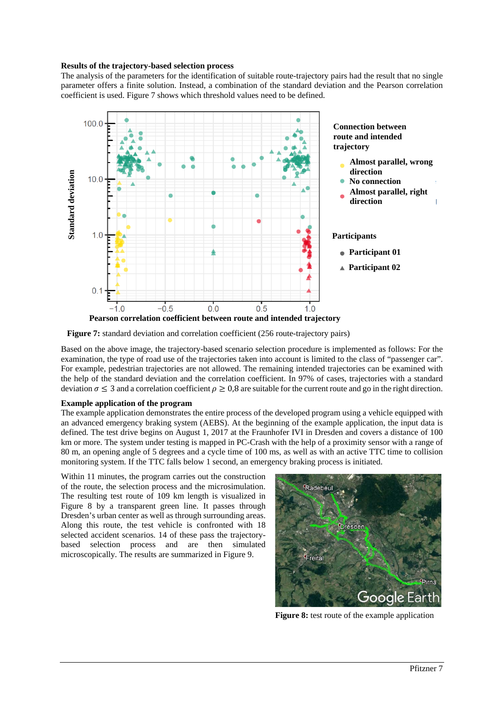#### **Results of the trajectory-based selection process**

The analysis of the parameters for the identification of suitable route-trajectory pairs had the result that no single parameter offers a finite solution. Instead, a combination of the standard deviation and the Pearson correlation coefficient is used. Figure 7 shows which threshold values need to be defined.





Based on the above image, the trajectory-based scenario selection procedure is implemented as follows: For the examination, the type of road use of the trajectories taken into account is limited to the class of "passenger car". For example, pedestrian trajectories are not allowed. The remaining intended trajectories can be examined with the help of the standard deviation and the correlation coefficient. In 97% of cases, trajectories with a standard deviation  $\sigma \leq 3$  and a correlation coefficient  $\rho \geq 0.8$  are suitable for the current route and go in the right direction.

## **Example application of the program**

The example application demonstrates the entire process of the developed program using a vehicle equipped with an advanced emergency braking system (AEBS). At the beginning of the example application, the input data is defined. The test drive begins on August 1, 2017 at the Fraunhofer IVI in Dresden and covers a distance of 100 km or more. The system under testing is mapped in PC-Crash with the help of a proximity sensor with a range of 80 m, an opening angle of 5 degrees and a cycle time of 100 ms, as well as with an active TTC time to collision monitoring system. If the TTC falls below 1 second, an emergency braking process is initiated.

Within 11 minutes, the program carries out the construction of the route, the selection process and the microsimulation. The resulting test route of 109 km length is visualized in Figure 8 by a transparent green line. It passes through Dresden's urban center as well as through surrounding areas. Along this route, the test vehicle is confronted with 18 selected accident scenarios. 14 of these pass the trajectorybased selection process and are then simulated microscopically. The results are summarized in Figure 9.



**Figure 8:** test route of the example application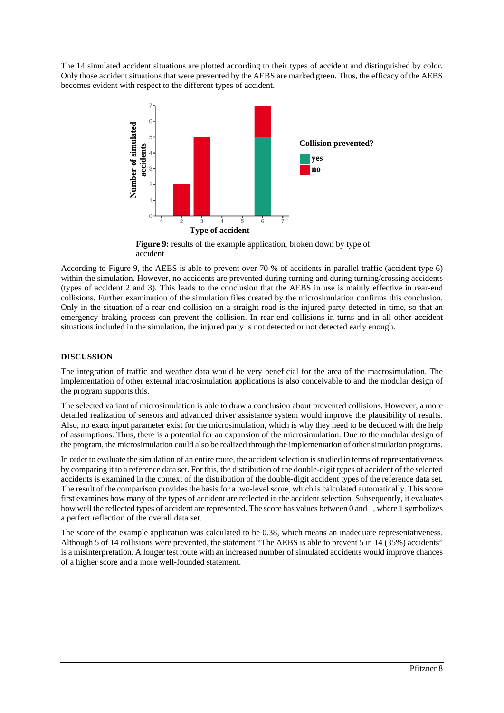The 14 simulated accident situations are plotted according to their types of accident and distinguished by color. Only those accident situations that were prevented by the AEBS are marked green. Thus, the efficacy of the AEBS becomes evident with respect to the different types of accident.



**Figure 9:** results of the example application, broken down by type of accident

According to Figure 9, the AEBS is able to prevent over 70 % of accidents in parallel traffic (accident type 6) within the simulation. However, no accidents are prevented during turning and during turning/crossing accidents (types of accident 2 and 3). This leads to the conclusion that the AEBS in use is mainly effective in rear-end collisions. Further examination of the simulation files created by the microsimulation confirms this conclusion. Only in the situation of a rear-end collision on a straight road is the injured party detected in time, so that an emergency braking process can prevent the collision. In rear-end collisions in turns and in all other accident situations included in the simulation, the injured party is not detected or not detected early enough.

# **DISCUSSION**

The integration of traffic and weather data would be very beneficial for the area of the macrosimulation. The implementation of other external macrosimulation applications is also conceivable to and the modular design of the program supports this.

The selected variant of microsimulation is able to draw a conclusion about prevented collisions. However, a more detailed realization of sensors and advanced driver assistance system would improve the plausibility of results. Also, no exact input parameter exist for the microsimulation, which is why they need to be deduced with the help of assumptions. Thus, there is a potential for an expansion of the microsimulation. Due to the modular design of the program, the microsimulation could also be realized through the implementation of other simulation programs.

In order to evaluate the simulation of an entire route, the accident selection is studied in terms of representativeness by comparing it to a reference data set. For this, the distribution of the double-digit types of accident of the selected accidents is examined in the context of the distribution of the double-digit accident types of the reference data set. The result of the comparison provides the basis for a two-level score, which is calculated automatically. This score first examines how many of the types of accident are reflected in the accident selection. Subsequently, it evaluates how well the reflected types of accident are represented. The score has values between 0 and 1, where 1 symbolizes a perfect reflection of the overall data set.

The score of the example application was calculated to be 0.38, which means an inadequate representativeness. Although 5 of 14 collisions were prevented, the statement "The AEBS is able to prevent 5 in 14 (35%) accidents" is a misinterpretation. A longer test route with an increased number of simulated accidents would improve chances of a higher score and a more well-founded statement.